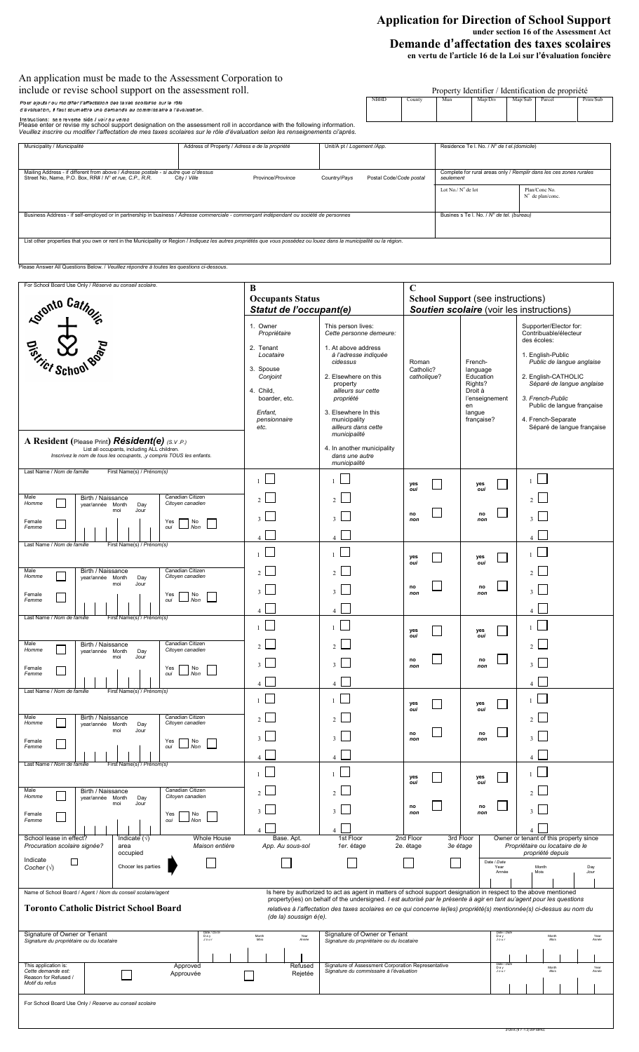# **Application for Direction of School Support under section 16 of the Assessment Act Demande d'affectation des taxes scolaires en vertu de l'article 16 de la Loi sur l'évaluation foncière**

2129 K (9 7 -1 2) WP MPAC

| An application must be made to the Assessment Corporation to                                                                                                                                                                                                                                                  |                                                |                                                   |  |                                                                                 |                                              |                                           |         |                                           |          |  |  |  |
|---------------------------------------------------------------------------------------------------------------------------------------------------------------------------------------------------------------------------------------------------------------------------------------------------------------|------------------------------------------------|---------------------------------------------------|--|---------------------------------------------------------------------------------|----------------------------------------------|-------------------------------------------|---------|-------------------------------------------|----------|--|--|--|
| include or revise school support on the assessment roll.                                                                                                                                                                                                                                                      |                                                | Property Identifier / Identification de propriété |  |                                                                                 |                                              |                                           |         |                                           |          |  |  |  |
| Pour ajouter ou modifier l'affectation des taxes scolaires sur le rôle<br>d'évaluation, il faut soumettre une demande au commissaire a l'évaluation.                                                                                                                                                          |                                                |                                                   |  | County                                                                          | Mun                                          | Map/Div                                   | Map/Sub | Parcel                                    | Prim/Sub |  |  |  |
| Instructions: see reverse side / voir au verso<br>Please enter or revise my school support designation on the assessment roll in accordance with the following information.<br>Veuillez inscrire ou modifier l'affectation de mes taxes scolaires sur le rôle d'évaluation selon les renseignements ci'après. |                                                |                                                   |  |                                                                                 |                                              |                                           |         |                                           |          |  |  |  |
| Municipality / Municipalité                                                                                                                                                                                                                                                                                   | Address of Property / Adress e de la propriété | Unit/A pt / Logement /App.                        |  |                                                                                 | Residence Te I. No. / N° de t el. (domicile) |                                           |         |                                           |          |  |  |  |
| Mailing Address - if different from above / Adresse postale - si autre que ci'dessus<br>Street No, Name, P.O. Box, RR# / N° et rue, C.P., R.R.<br>City / Ville                                                                                                                                                | Country/Pays                                   | Postal Code/Code postal                           |  | Complete for rural areas only / Remplir dans les ces zones rurales<br>seulement |                                              |                                           |         |                                           |          |  |  |  |
|                                                                                                                                                                                                                                                                                                               |                                                |                                                   |  |                                                                                 | Lot $No / No$ de lot                         |                                           |         | Plan/Conc No<br>$N^{\circ}$ de plan/conc. |          |  |  |  |
| Business Address - if self-employed or in partnership in business / Adresse commerciale - commercant indépendant ou société de personnes                                                                                                                                                                      |                                                |                                                   |  |                                                                                 |                                              | Busines s Te I. No. / N° de tel. (bureau) |         |                                           |          |  |  |  |
| List other properties that you own or rent in the Municipality or Region / Indiquez les autres propriétés que vous possédez ou louez dans la municipalité ou la région.<br>Please Answer All Questions Below. / Veuillez répondre à toutes les questions ci-dessous.                                          |                                                |                                                   |  |                                                                                 |                                              |                                           |         |                                           |          |  |  |  |

| For School Board Use Only / Réservé au conseil scolaire.                                                                                                                                                                                                                                                                                                                                                                                                                                                        | B<br><b>Occupants Status</b><br>Statut de l'occupant(e)                                                                                      |                                                                                                                                                                                                                                                                                                                | C<br><b>School Support (see instructions)</b><br>Soutien scolaire (voir les instructions) |                                                                                                        |                                                                                                                                                                                                                                                                            |  |  |  |
|-----------------------------------------------------------------------------------------------------------------------------------------------------------------------------------------------------------------------------------------------------------------------------------------------------------------------------------------------------------------------------------------------------------------------------------------------------------------------------------------------------------------|----------------------------------------------------------------------------------------------------------------------------------------------|----------------------------------------------------------------------------------------------------------------------------------------------------------------------------------------------------------------------------------------------------------------------------------------------------------------|-------------------------------------------------------------------------------------------|--------------------------------------------------------------------------------------------------------|----------------------------------------------------------------------------------------------------------------------------------------------------------------------------------------------------------------------------------------------------------------------------|--|--|--|
| <b>Ketonio Catholic</b><br>A Resident (Please Print) Résident(e) (S.V.P.)<br>List all occupants, including ALL children.<br>Inscrivez le nom de tous les occupants, ,y compris TOUS les enfants.                                                                                                                                                                                                                                                                                                                | 1. Owner<br>Propriétaire<br>2. Tenant<br>Locataire<br>3. Spouse<br>Conjoint<br>4. Child,<br>boarder, etc.<br>Enfant,<br>pensionnaire<br>etc. | This person lives:<br>Cette personne demeure:<br>1. At above address<br>à l'adresse indiquée<br>cidessus<br>2. Elsewhere on this<br>property<br>ailleurs sur cette<br>propriété<br>3. Elsewhere In this<br>municipality<br>ailleurs dans cette<br>municipalité<br>4. In another municipality<br>dans une autre | Roman<br>Catholic?<br>catholique?                                                         | French-<br>language<br>Education<br>Rights?<br>Droit à<br>l'enseignement<br>en<br>langue<br>française? | Supporter/Elector for:<br>Contribuable/électeur<br>des écoles:<br>1. English-Public<br>Public de langue anglaise<br>2. English-CATHOLIC<br>Séparé de langue anglaise<br>3. French-Public<br>Public de langue française<br>4. French-Separate<br>Séparé de langue française |  |  |  |
| Last Name / Nom de famille<br>First Name(s) / Prénom(s)<br>Male<br>Birth / Naissance<br>Canadian Citizen<br>Homme<br>Citoyen canadien<br>year/année Month<br>Day<br>Jour<br>moi<br>Female<br>No<br>Yes<br>Non<br>Femme<br>oui                                                                                                                                                                                                                                                                                   | $\mathbf{1}$                                                                                                                                 | municipalité<br>$\mathbf{1}$                                                                                                                                                                                                                                                                                   | yes<br>oui<br>no<br>non                                                                   | yes<br>oui<br>no<br>non                                                                                | $\mathcal{P}$                                                                                                                                                                                                                                                              |  |  |  |
| Last Name / Nom de famille<br>First Name(s) / Prénom(s)<br>Male<br>Canadian Citizen<br>Birth / Naissance<br>Homme<br>Citoyen canadien<br>year/année Month<br>Day<br>Jour<br>moi<br>Female<br>No<br>Yes<br>Femme<br>oui<br>Non                                                                                                                                                                                                                                                                                   | 4<br>$\overline{4}$                                                                                                                          | $\overline{4}$<br>$\mathbf{1}$<br>$\overline{A}$                                                                                                                                                                                                                                                               | yes<br>oui<br>no<br>non                                                                   | yes<br>oui<br>no<br>non                                                                                | 4<br>$\Delta$                                                                                                                                                                                                                                                              |  |  |  |
| Last Name / Nom de famille<br>First Name(s) / Prénom(s)<br>Male<br>Canadian Citizen<br>Birth / Naissance<br>Homme<br>Citoyen canadien<br>year/année Month<br>Day<br>moi<br>Jour<br>Female<br>Yes<br>No<br>Femme<br>oui<br>Non                                                                                                                                                                                                                                                                                   | 3                                                                                                                                            | $\mathbf{3}$<br>$\overline{A}$                                                                                                                                                                                                                                                                                 | yes<br>oui<br>no<br>non                                                                   | yes<br>oui<br>no<br>non                                                                                | $\overline{2}$<br>3<br>$\overline{4}$                                                                                                                                                                                                                                      |  |  |  |
| Last Name / Nom de famille<br>First Name(s) / Prénom(s)<br>Male<br>Canadian Citizen<br>Birth / Naissance<br>Homme<br>Citoyen canadien<br>year/année Month<br>Day<br>moi<br>Jour<br>Female<br>Yes<br>No<br>Non<br>Femme<br>oui                                                                                                                                                                                                                                                                                   | 3<br>$\overline{4}$                                                                                                                          | $\overline{4}$                                                                                                                                                                                                                                                                                                 | yes<br>oui<br>no<br>non                                                                   | yes<br>oui<br>no<br>non                                                                                | 3<br>$\overline{4}$                                                                                                                                                                                                                                                        |  |  |  |
| Last Name / Nom de famille<br>First Name(s) / Prénom(s)<br>Canadian Citizen<br>Male<br>Birth / Naissance<br>Homme<br>Citoyen canadien<br>year/année Month<br>Day<br>Jour<br>moi<br>Female<br>Yes<br>No<br>Femme<br>oui<br>Non                                                                                                                                                                                                                                                                                   | $\mathbf{1}$<br>$\overline{4}$                                                                                                               | $\mathbf{1}$<br>Δ                                                                                                                                                                                                                                                                                              | yes<br>oui<br>no<br>non                                                                   | yes<br>oui<br>no<br>non                                                                                | $\mathbf{1}$<br>Δ                                                                                                                                                                                                                                                          |  |  |  |
| School lease in effect?<br>Whole House<br>Indicate $(\sqrt{})$<br>Procuration scolaire signée?<br>Maison entière<br>area<br>occupied<br>Indicate<br>□<br>Cocher $(\sqrt{})$<br>Chocer les parties                                                                                                                                                                                                                                                                                                               | Base. Apt.<br>App. Au sous-sol                                                                                                               | 1st Floor<br>1er. étage                                                                                                                                                                                                                                                                                        | 2nd Floor<br>2e. étage                                                                    | 3rd Floor<br>3e étage<br>Date / Date<br>Year<br>Année                                                  | Owner or tenant of this property since<br>Propriétaire ou locataire de le<br>propriété depuis<br>Month<br>Day<br>Mois<br>Jour                                                                                                                                              |  |  |  |
| Name of School Board / Agent / Nom du conseil scolaire/agent<br>Is here by authorized to act as agent in matters of school support designation in respect to the above mentioned<br>property(ies) on behalf of the undersigned. I est autorisé par le présente à agir en tant au'agent pour les questions<br><b>Toronto Catholic District School Board</b><br>relatives à l'affectation des taxes scolaires en ce qui concerne le(les) propriété(s) mentionnée(s) ci-dessus au nom du<br>(de la) soussign é(e). |                                                                                                                                              |                                                                                                                                                                                                                                                                                                                |                                                                                           |                                                                                                        |                                                                                                                                                                                                                                                                            |  |  |  |
| Signature of Owner or Tenant<br>Date / Da<br>Day<br>Jour<br>Signature du propriétaire ou du locataire<br>This application is:<br>Approved<br>Cette demande est:<br>Approuvée<br>Reason for Refused /<br>Motif du refus                                                                                                                                                                                                                                                                                          | Year<br>Année<br>Month<br>Mois<br>Refused<br>Rejetée                                                                                         | Signature of Owner or Tenant<br>Signature du propriétaire ou du locataire<br>Signature of Assessment Corporation Representative<br>Signature du commissaire à l'évaluation                                                                                                                                     |                                                                                           | Day<br>Jour<br>Date / Da<br>Day<br>Jour                                                                | Month<br>Mois<br>Year<br>Année<br>Month<br>Mois<br>Year<br>Année                                                                                                                                                                                                           |  |  |  |
| For School Board Use Only / Reserve au conseil scolaire                                                                                                                                                                                                                                                                                                                                                                                                                                                         |                                                                                                                                              |                                                                                                                                                                                                                                                                                                                |                                                                                           |                                                                                                        |                                                                                                                                                                                                                                                                            |  |  |  |